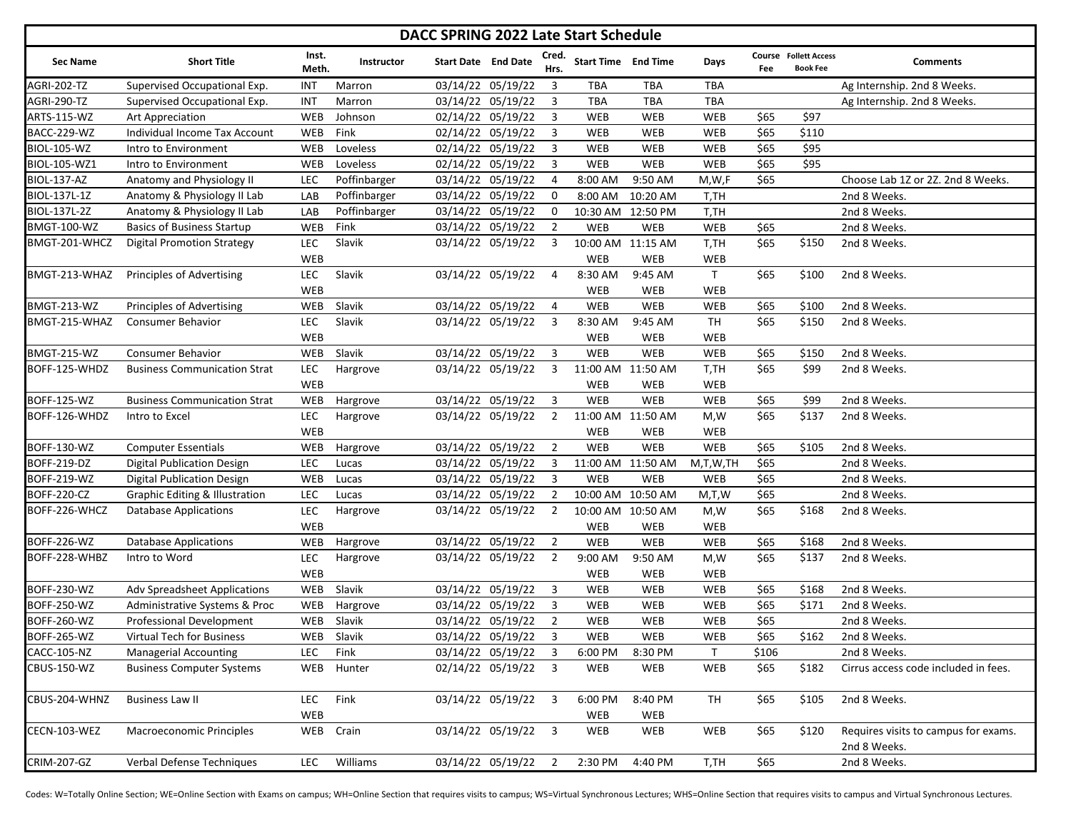| DACC SPRING 2022 Late Start Schedule |                                           |                          |              |                            |                     |                |                |                            |                         |       |                                                 |                                                      |
|--------------------------------------|-------------------------------------------|--------------------------|--------------|----------------------------|---------------------|----------------|----------------|----------------------------|-------------------------|-------|-------------------------------------------------|------------------------------------------------------|
| <b>Sec Name</b>                      | <b>Short Title</b>                        | Inst.<br>Meth.           | Instructor   | <b>Start Date</b> End Date |                     | Cred.<br>Hrs.  |                | <b>Start Time End Time</b> | Days                    | Fee   | <b>Course</b> Follett Access<br><b>Book Fee</b> | <b>Comments</b>                                      |
| <b>AGRI-202-TZ</b>                   | Supervised Occupational Exp.              | INT                      | Marron       |                            | 03/14/22 05/19/22   | 3              | <b>TBA</b>     | <b>TBA</b>                 | <b>TBA</b>              |       |                                                 | Ag Internship. 2nd 8 Weeks.                          |
| AGRI-290-TZ                          | Supervised Occupational Exp.              | INT                      | Marron       |                            | 03/14/22 05/19/22   | 3              | <b>TBA</b>     | TBA                        | TBA                     |       |                                                 | Ag Internship. 2nd 8 Weeks.                          |
| ARTS-115-WZ                          | Art Appreciation                          | WEB                      | Johnson      |                            | 02/14/22 05/19/22   | $\overline{3}$ | <b>WEB</b>     | WEB                        | WEB                     | \$65  | \$97                                            |                                                      |
| BACC-229-WZ                          | Individual Income Tax Account             | WEB                      | Fink         |                            | 02/14/22 05/19/22   | 3              | <b>WEB</b>     | <b>WEB</b>                 | WEB                     | \$65  | \$110                                           |                                                      |
| <b>BIOL-105-WZ</b>                   | Intro to Environment                      | <b>WEB</b>               | Loveless     |                            | 02/14/22 05/19/22   | $\overline{3}$ | <b>WEB</b>     | <b>WEB</b>                 | WEB                     | \$65  | \$95                                            |                                                      |
| BIOL-105-WZ1                         | Intro to Environment                      | WEB                      | Loveless     |                            | 02/14/22 05/19/22   | $\overline{3}$ | <b>WEB</b>     | WEB                        | WEB                     | \$65  | \$95                                            |                                                      |
| <b>BIOL-137-AZ</b>                   | Anatomy and Physiology II                 | LEC                      | Poffinbarger |                            | 03/14/22 05/19/22   | $\overline{4}$ | 8:00 AM        | 9:50 AM                    | M, W, F                 | \$65  |                                                 | Choose Lab 1Z or 2Z. 2nd 8 Weeks.                    |
| BIOL-137L-1Z                         | Anatomy & Physiology II Lab               | LAB                      | Poffinbarger |                            | 03/14/22 05/19/22   | 0              | 8:00 AM        | 10:20 AM                   | T,TH                    |       |                                                 | 2nd 8 Weeks.                                         |
| BIOL-137L-2Z                         | Anatomy & Physiology II Lab               | LAB                      | Poffinbarger |                            | 03/14/22 05/19/22   | 0              | 10:30 AM       | 12:50 PM                   | T,TH                    |       |                                                 | 2nd 8 Weeks.                                         |
| <b>BMGT-100-WZ</b>                   | <b>Basics of Business Startup</b>         | <b>WEB</b>               | Fink         |                            | 03/14/22 05/19/22   | $\overline{2}$ | <b>WEB</b>     | WEB                        | WEB                     | \$65  |                                                 | 2nd 8 Weeks.                                         |
| BMGT-201-WHCZ                        | <b>Digital Promotion Strategy</b>         | LEC                      | Slavik       |                            | 03/14/22 05/19/22   | 3              |                | 10:00 AM 11:15 AM          | T,TH                    | \$65  | \$150                                           | 2nd 8 Weeks.                                         |
|                                      |                                           | <b>WEB</b>               |              |                            |                     |                | WEB            | WEB                        | WEB                     |       |                                                 |                                                      |
| BMGT-213-WHAZ                        | <b>Principles of Advertising</b>          | <b>LEC</b>               | Slavik       |                            | 03/14/22 05/19/22   | $\overline{a}$ | 8:30 AM        | 9:45 AM                    | $\mathsf{T}$            | \$65  | \$100                                           | 2nd 8 Weeks.                                         |
|                                      |                                           | <b>WEB</b>               |              |                            |                     |                | WEB            | WEB                        | <b>WEB</b>              |       |                                                 |                                                      |
| <b>BMGT-213-WZ</b>                   | <b>Principles of Advertising</b>          | <b>WEB</b>               | Slavik       |                            | 03/14/22 05/19/22   | $\overline{a}$ | <b>WEB</b>     | WEB                        | WEB                     | \$65  | \$100                                           | 2nd 8 Weeks.                                         |
| BMGT-215-WHAZ                        | <b>Consumer Behavior</b>                  | <b>LEC</b><br><b>WEB</b> | Slavik       |                            | 03/14/22 05/19/22   | 3              | 8:30 AM<br>WEB | 9:45 AM<br>WEB             | <b>TH</b><br><b>WEB</b> | \$65  | \$150                                           | 2nd 8 Weeks.                                         |
| <b>BMGT-215-WZ</b>                   | <b>Consumer Behavior</b>                  | <b>WEB</b>               | Slavik       |                            | 03/14/22 05/19/22   | 3              | WEB            | WEB                        | WEB                     | \$65  | \$150                                           | 2nd 8 Weeks.                                         |
| BOFF-125-WHDZ                        | <b>Business Communication Strat</b>       | <b>LEC</b>               | Hargrove     |                            | 03/14/22 05/19/22   | 3              |                | 11:00 AM 11:50 AM          | T,TH                    | \$65  | \$99                                            | 2nd 8 Weeks.                                         |
|                                      |                                           | WEB                      |              |                            |                     |                | <b>WEB</b>     | WEB                        | WEB                     |       |                                                 |                                                      |
| BOFF-125-WZ                          | <b>Business Communication Strat</b>       | WEB                      | Hargrove     |                            | 03/14/22 05/19/22   | $\overline{3}$ | <b>WEB</b>     | WEB                        | WEB                     | \$65  | \$99                                            | 2nd 8 Weeks.                                         |
| BOFF-126-WHDZ                        | Intro to Excel                            | LEC                      | Hargrove     |                            | 03/14/22 05/19/22   | 2              |                | 11:00 AM 11:50 AM          | M,W                     | \$65  | \$137                                           | 2nd 8 Weeks.                                         |
|                                      |                                           | WEB                      |              |                            |                     |                | <b>WEB</b>     | WEB                        | <b>WEB</b>              |       |                                                 |                                                      |
| BOFF-130-WZ                          | <b>Computer Essentials</b>                | WEB                      | Hargrove     |                            | 03/14/22 05/19/22   | $\overline{2}$ | <b>WEB</b>     | WEB                        | WEB                     | \$65  | \$105                                           | 2nd 8 Weeks.                                         |
| BOFF-219-DZ                          | <b>Digital Publication Design</b>         | LEC                      | Lucas        |                            | 03/14/22 05/19/22   | 3              |                | 11:00 AM 11:50 AM          | M,T,W,TH                | \$65  |                                                 | 2nd 8 Weeks.                                         |
| <b>BOFF-219-WZ</b>                   | <b>Digital Publication Design</b>         | <b>WEB</b>               | Lucas        |                            | 03/14/22 05/19/22   | $\overline{3}$ | WEB            | WEB                        | WEB                     | \$65  |                                                 | 2nd 8 Weeks.                                         |
| <b>BOFF-220-CZ</b>                   | <b>Graphic Editing &amp; Illustration</b> | LEC                      | Lucas        |                            | 03/14/22 05/19/22   | 2              |                | 10:00 AM 10:50 AM          | M,T,W                   | \$65  |                                                 | 2nd 8 Weeks.                                         |
| BOFF-226-WHCZ                        | <b>Database Applications</b>              | LEC                      | Hargrove     |                            | 03/14/22 05/19/22   | $\overline{2}$ |                | 10:00 AM 10:50 AM          | M,W                     | \$65  | \$168                                           | 2nd 8 Weeks.                                         |
|                                      |                                           | <b>WEB</b>               |              |                            |                     |                | <b>WEB</b>     | WEB                        | <b>WEB</b>              |       |                                                 |                                                      |
| <b>BOFF-226-WZ</b>                   | <b>Database Applications</b>              | WEB                      | Hargrove     |                            | 03/14/22 05/19/22   | $\overline{2}$ | <b>WEB</b>     | WEB                        | <b>WEB</b>              | \$65  | \$168                                           | 2nd 8 Weeks.                                         |
| BOFF-228-WHBZ                        | Intro to Word                             | <b>LEC</b>               | Hargrove     |                            | 03/14/22 05/19/22   | $\overline{2}$ | 9:00 AM        | 9:50 AM                    | M,W                     | \$65  | \$137                                           | 2nd 8 Weeks.                                         |
|                                      |                                           | <b>WEB</b>               |              |                            |                     |                | WEB            | WEB                        | <b>WEB</b>              |       |                                                 |                                                      |
| BOFF-230-WZ                          | <b>Adv Spreadsheet Applications</b>       | <b>WEB</b>               | Slavik       |                            | 03/14/22 05/19/22   | 3              | <b>WEB</b>     | WEB                        | WEB                     | \$65  | \$168                                           | 2nd 8 Weeks.                                         |
| <b>BOFF-250-WZ</b>                   | Administrative Systems & Proc             | WEB                      | Hargrove     |                            | 03/14/22 05/19/22   | 3              | <b>WEB</b>     | WEB                        | <b>WEB</b>              | \$65  | \$171                                           | 2nd 8 Weeks.                                         |
| BOFF-260-WZ                          | Professional Development                  | WEB                      | Slavik       |                            | 03/14/22 05/19/22   | $\overline{2}$ | <b>WEB</b>     | <b>WEB</b>                 | WEB                     | \$65  |                                                 | 2nd 8 Weeks.                                         |
| <b>BOFF-265-WZ</b>                   | Virtual Tech for Business                 | WEB                      | Slavik       |                            | 03/14/22 05/19/22   | 3              | WEB            | WEB                        | WEB                     | \$65  | \$162                                           | 2nd 8 Weeks.                                         |
| <b>CACC-105-NZ</b>                   | <b>Managerial Accounting</b>              | <b>LEC</b>               | Fink         |                            | 03/14/22 05/19/22   | 3              | 6:00 PM        | 8:30 PM                    | $\mathsf{T}$            | \$106 |                                                 | 2nd 8 Weeks.                                         |
| CBUS-150-WZ                          | <b>Business Computer Systems</b>          | WEB                      | Hunter       |                            | 02/14/22 05/19/22 3 |                | <b>WEB</b>     | <b>WEB</b>                 | WEB                     | \$65  | \$182                                           | Cirrus access code included in fees.                 |
| CBUS-204-WHNZ                        | <b>Business Law II</b>                    | LEC<br>WEB               | Fink         |                            | 03/14/22 05/19/22 3 |                | 6:00 PM<br>WEB | 8:40 PM<br>WEB             | TH                      | \$65  | \$105                                           | 2nd 8 Weeks.                                         |
| CECN-103-WEZ                         | Macroeconomic Principles                  |                          | WEB Crain    |                            | 03/14/22 05/19/22 3 |                | WEB            | WEB                        | WEB                     | \$65  | \$120                                           | Requires visits to campus for exams.<br>2nd 8 Weeks. |
| CRIM-207-GZ                          | Verbal Defense Techniques                 | LEC                      | Williams     |                            | 03/14/22 05/19/22   | $\overline{2}$ | 2:30 PM        | 4:40 PM                    | T,TH                    | \$65  |                                                 | 2nd 8 Weeks.                                         |
|                                      |                                           |                          |              |                            |                     |                |                |                            |                         |       |                                                 |                                                      |

Codes: W=Totally Online Section; WE=Online Section with Exams on campus; WH=Online Section that requires visits to campus; WS=Virtual Synchronous Lectures; WHS=Online Section that requires visits to campus and Virtual Sync